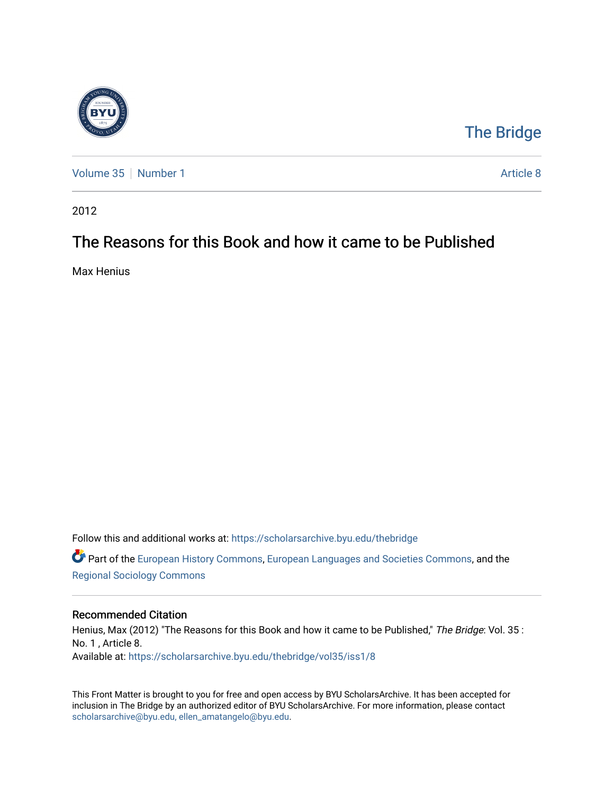

## [The Bridge](https://scholarsarchive.byu.edu/thebridge)

[Volume 35](https://scholarsarchive.byu.edu/thebridge/vol35) | [Number 1](https://scholarsarchive.byu.edu/thebridge/vol35/iss1) Article 8

2012

## The Reasons for this Book and how it came to be Published

Max Henius

Follow this and additional works at: [https://scholarsarchive.byu.edu/thebridge](https://scholarsarchive.byu.edu/thebridge?utm_source=scholarsarchive.byu.edu%2Fthebridge%2Fvol35%2Fiss1%2F8&utm_medium=PDF&utm_campaign=PDFCoverPages) 

**P** Part of the [European History Commons](http://network.bepress.com/hgg/discipline/492?utm_source=scholarsarchive.byu.edu%2Fthebridge%2Fvol35%2Fiss1%2F8&utm_medium=PDF&utm_campaign=PDFCoverPages), [European Languages and Societies Commons,](http://network.bepress.com/hgg/discipline/482?utm_source=scholarsarchive.byu.edu%2Fthebridge%2Fvol35%2Fiss1%2F8&utm_medium=PDF&utm_campaign=PDFCoverPages) and the [Regional Sociology Commons](http://network.bepress.com/hgg/discipline/427?utm_source=scholarsarchive.byu.edu%2Fthebridge%2Fvol35%2Fiss1%2F8&utm_medium=PDF&utm_campaign=PDFCoverPages) 

## Recommended Citation

Henius, Max (2012) "The Reasons for this Book and how it came to be Published," The Bridge: Vol. 35 : No. 1 , Article 8. Available at: [https://scholarsarchive.byu.edu/thebridge/vol35/iss1/8](https://scholarsarchive.byu.edu/thebridge/vol35/iss1/8?utm_source=scholarsarchive.byu.edu%2Fthebridge%2Fvol35%2Fiss1%2F8&utm_medium=PDF&utm_campaign=PDFCoverPages) 

This Front Matter is brought to you for free and open access by BYU ScholarsArchive. It has been accepted for inclusion in The Bridge by an authorized editor of BYU ScholarsArchive. For more information, please contact [scholarsarchive@byu.edu, ellen\\_amatangelo@byu.edu](mailto:scholarsarchive@byu.edu,%20ellen_amatangelo@byu.edu).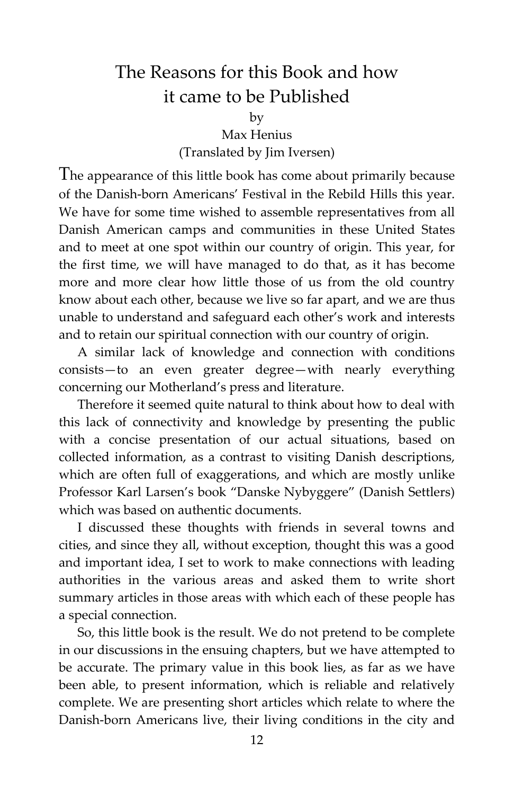## The Reasons for this Book and how it came to be Published

by

Max Henius (Translated by Jim Iversen)

The appearance of this little book has come about primarily because of the Danish-born Americans' Festival in the Rebild Hills this year. We have for some time wished to assemble representatives from all Danish American camps and communities in these United States and to meet at one spot within our country of origin. This year, for the first time, we will have managed to do that, as it has become more and more clear how little those of us from the old country know about each other, because we live so far apart, and we are thus unable to understand and safeguard each other's work and interests and to retain our spiritual connection with our country of origin.

A similar lack of knowledge and connection with conditions consists—to an even greater degree—with nearly everything concerning our Motherland's press and literature.

Therefore it seemed quite natural to think about how to deal with this lack of connectivity and knowledge by presenting the public with a concise presentation of our actual situations, based on collected information, as a contrast to visiting Danish descriptions, which are often full of exaggerations, and which are mostly unlike Professor Karl Larsen's book "Danske Nybyggere" (Danish Settlers) which was based on authentic documents.

I discussed these thoughts with friends in several towns and cities, and since they all, without exception, thought this was a good and important idea, I set to work to make connections with leading authorities in the various areas and asked them to write short summary articles in those areas with which each of these people has a special connection.

So, this little book is the result. We do not pretend to be complete in our discussions in the ensuing chapters, but we have attempted to be accurate. The primary value in this book lies, as far as we have been able, to present information, which is reliable and relatively complete. We are presenting short articles which relate to where the Danish-born Americans live, their living conditions in the city and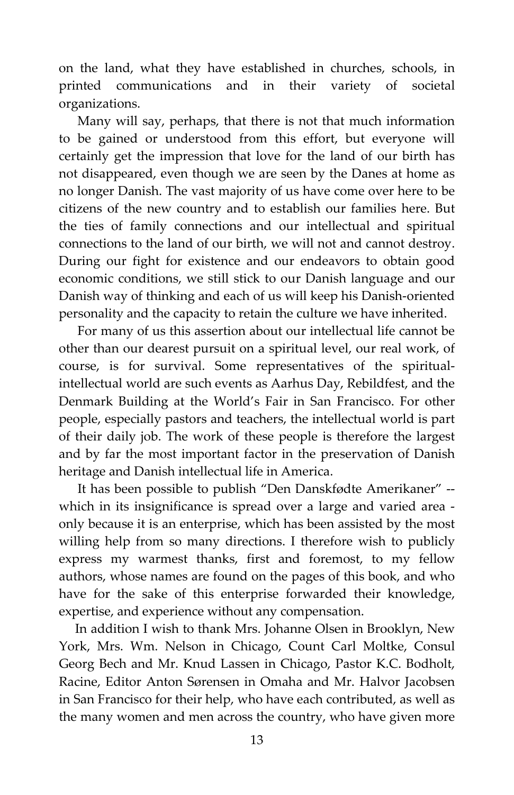on the land, what they have established in churches, schools, in printed communications and in their variety of societal organizations.

Many will say, perhaps, that there is not that much information to be gained or understood from this effort, but everyone will certainly get the impression that love for the land of our birth has not disappeared, even though we are seen by the Danes at home as no longer Danish. The vast majority of us have come over here to be citizens of the new country and to establish our families here. But the ties of family connections and our intellectual and spiritual connections to the land of our birth, we will not and cannot destroy. During our fight for existence and our endeavors to obtain good economic conditions, we still stick to our Danish language and our Danish way of thinking and each of us will keep his Danish-oriented personality and the capacity to retain the culture we have inherited.

For many of us this assertion about our intellectual life cannot be other than our dearest pursuit on a spiritual level, our real work, of course, is for survival. Some representatives of the spiritualintellectual world are such events as Aarhus Day, Rebildfest, and the Denmark Building at the World's Fair in San Francisco. For other people, especially pastors and teachers, the intellectual world is part of their daily job. The work of these people is therefore the largest and by far the most important factor in the preservation of Danish heritage and Danish intellectual life in America.

It has been possible to publish "Den Danskfødte Amerikaner" - which in its insignificance is spread over a large and varied area only because it is an enterprise, which has been assisted by the most willing help from so many directions. I therefore wish to publicly express my warmest thanks, first and foremost, to my fellow authors, whose names are found on the pages of this book, and who have for the sake of this enterprise forwarded their knowledge, expertise, and experience without any compensation.

 In addition I wish to thank Mrs. Johanne Olsen in Brooklyn, New York, Mrs. Wm. Nelson in Chicago, Count Carl Moltke, Consul Georg Bech and Mr. Knud Lassen in Chicago, Pastor K.C. Bodholt, Racine, Editor Anton Sørensen in Omaha and Mr. Halvor Jacobsen in San Francisco for their help, who have each contributed, as well as the many women and men across the country, who have given more